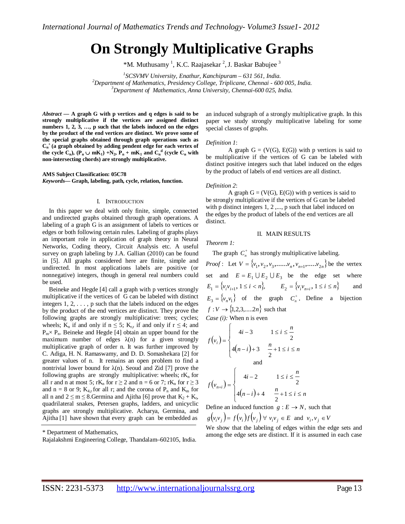# **On Strongly Multiplicative Graphs**

\*M. Muthusamy<sup>1</sup>, K.C. Raajasekar<sup>2</sup>, J. Baskar Babujee<sup>3</sup>

*1 SCSVMV University, Enathur, Kanchipuram – 631 561, India. <sup>2</sup>Department of Mathematics, Presidency College, Triplicane, Chennai - 600 005, India. <sup>3</sup>Department of Mathematics, Anna University, Chennai-600 025, India.*

*Abstract* **— A graph G with p vertices and q edges is said to be strongly multiplicative if the vertices are assigned distinct numbers 1, 2, 3, …, p such that the labels induced on the edges by the product of the end vertices are distinct. We prove some of the special graphs obtained through graph operations such as C<sup>n</sup> + (a graph obtained by adding pendent edge for each vertex of the cycle C<sub>n</sub>**),  $(P_n \cup mK_1) + N_2$ ,  $P_n + mK_1$  and  $C_n$ <sup>d</sup> (cycle C<sub>n</sub> with **non-intersecting chords) are strongly multiplicative.**

**AMS Subject Classification: 05C78** *Keywords***— Graph, labeling, path, cycle, relation, function.**

#### I. INTRODUCTION

In this paper we deal with only finite, simple, connected and undirected graphs obtained through graph operations. A labeling of a graph G is an assignment of labels to vertices or edges or both following certain rules. Labeling of graphs plays an important role in application of graph theory in Neural Networks, Coding theory, Circuit Analysis etc. A useful survey on graph labeling by J.A. Gallian (2010) can be found in [5]. All graphs considered here are finite, simple and undirected. In most applications labels are positive (or nonnegative) integers, though in general real numbers could be used.

Beineke and Hegde [4] call a graph with p vertices strongly multiplicative if the vertices of G can be labeled with distinct integers  $1, 2, \ldots$ , p such that the labels induced on the edges by the product of the end vertices are distinct. They prove the following graphs are strongly multiplicative: trees; cycles; wheels; K<sub>n</sub> if and only if  $n \leq 5$ ; K<sub>rs</sub> if and only if  $r \leq 4$ ; and  $P_m \times P_n$ . Beineke and Hegde [4] obtain an upper bound for the maximum number of edges  $\lambda(n)$  for a given strongly multiplicative graph of order n. It was further improved by C. Adiga, H. N. Ramaswamy, and D. D. Somashekara [2] for greater values of n. It remains an open problem to find a nontrivial lower bound for  $\lambda(n)$ . Seoud and Zid [7] prove the following graphs are strongly multiplicative: wheels;  $rK_n$  for all r and n at most 5; rK<sub>n</sub> for  $r \ge 2$  and  $n = 6$  or 7; rK<sub>n</sub> for  $r \ge 3$ and  $n = 8$  or 9;  $K_{4,r}$  for all r; and the corona of  $P_n$  and  $K_m$  for all n and  $2 \le m \le 8$ . Germina and Ajitha [6] prove that  $K_2 + K_t$ , quadrilateral snakes, Petersen graphs, ladders, and unicyclic graphs are strongly multiplicative. Acharya, Germina, and Ajitha [1] have shown that every graph can be embedded as

Rajalakshmi Engineering College, Thandalam–602105, India.

an induced subgraph of a strongly multiplicative graph. In this paper we study strongly multiplicative labeling for some special classes of graphs.

#### *Definition 1*:

A graph  $G = (V(G), E(G))$  with p vertices is said to be multiplicative if the vertices of G can be labeled with distinct positive integers such that label induced on the edges by the product of labels of end vertices are all distinct.

### *Definition 2*:

A graph  $G = (V(G), E(G))$  with p vertices is said to be strongly multiplicative if the vertices of G can be labeled with p distinct integers 1, 2,..., p such that label induced on the edges by the product of labels of the end vertices are all distinct.

### II. MAIN RESULTS

*Theorem 1:*

The graph  $C_n^+$  has strongly multiplicative labeling.

*Proof*: Let  $V = \{v_1, v_2, v_3, \dots, v_n, v_{n+1}, \dots, v_{2n}\}$  be the vertex set and  $E = E_1 \cup E_2 \cup E_3$  be the edge set where  $E_1 = \{v_i v_{i+1}, 1 \le i < n\}, \qquad E_2 = \{v_i v_{n+i}, 1 \le i \le n\}$  and  $E_3 = \{v_n v_1\}$  of the graph  $C_n^+$ . Define a bijection  $f: V \to \{1, 2, 3, \dots, 2n\}$  such that *Case (i):* When n is even

$$
f(v_i) = \begin{cases} 4i - 3 & 1 \le i \le \frac{n}{2} \\ 4(n - i) + 3 & \frac{n}{2} + 1 \le i \le n \\ \text{and} \end{cases}
$$

$$
f(v_{n+i}) = \begin{cases} 4i - 2 & 1 \le i \le \frac{n}{2} \\ 4(n - i) + 4 & \frac{n}{2} + 1 \le i \le n \end{cases}
$$

Define an induced function  $g: E \to N$ , such that

 $g(v_i v_j) = f(v_i) f(v_j) \forall v_i v_j \in E$  and  $v_i, v_j \in V$ 

We show that the labeling of edges within the edge sets and among the edge sets are distinct. If it is assumed in each case

<sup>\*</sup> Department of Mathematics,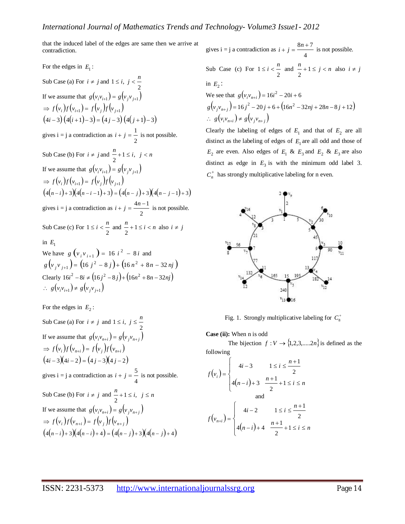that the induced label of the edges are same then we arrive at contradiction.

# For the edges in  $E_1$ :

Sub Case (a) For  $i \neq j$  and 2  $1 \leq i, j < \frac{n}{i}$ If we assume that  $g(v_i v_{i+1}) = g(v_j v_{j+1})$  $\Rightarrow$   $f(v_i) f(v_{i+1}) = f(v_j) f(v_{j+1})$  $(4i-3) (4(i+1)-3) = (4j-3) (4(j+1)-3)$ gives  $i = j$  a contradiction as 2  $i + j = \frac{1}{i}$  is not possible. Sub Case (b) For  $i \neq j$  and  $\frac{n}{i+1} \leq i, \ j < n$ 2 If we assume that  $g(v_i v_{i+1}) = g(v_j v_{j+1})$  $\Rightarrow$   $f(v_i) f(v_{i+1}) = f(v_j) f(v_{j+1})$  $(4(n-i)+3)(4(n-i-1)+3) = (4(n-j)+3)(4(n-j-1)+3)$ gives  $i = j$  a contradiction as 2  $i + j = \frac{4n-1}{ }$  is not possible. Sub Case (c) For 2  $1 \le i < \frac{n}{n}$  and  $\frac{n}{n} + 1 \le i < n$ 2 also  $i \neq j$ in  $E_1$ We have  $g\left(v_i v_{i+1}\right) = 16 i^2 - 8i$  and  $g\left(v_j v_{j+1}\right) = \left(16 j^2 - 8 j\right) + \left(16 n^2 + 8 n - 32 n j\right)$ 

Clearly 
$$
16i^2 - 8i \neq (16j^2 - 8j) + (16n^2 + 8n - 32nj)
$$
  
\n∴  $g(v_iv_{i+1}) \neq g(v_jv_{j+1})$ 

For the edges in  $E_2$ :

Sub Case (a) For 
$$
i \neq j
$$
 and  $1 \leq i$ ,  $j \leq \frac{n}{2}$   
\nIf we assume that  $g(v_i v_{n+i}) = g(v_j v_{n+j})$   
\n $\Rightarrow f(v_i) f(v_{n+i}) = f(v_j) f(v_{n+i})$   
\n $(4i-3)(4i-2) = (4j-3)(4j-2)$   
\ngives  $i = j$  a contradiction as  $i + j = \frac{5}{4}$  is not possible.  
\nSub Case (b) For  $i \neq j$  and  $\frac{n}{2} + 1 \leq i$ ,  $j \leq n$   
\nIf we assume that  $g(v_i v_{n+i}) = g(v_j v_{n+j})$   
\n $\Rightarrow f(v_i) f(v_{n+i}) = f(v_j) f(v_{n+j})$   
\n $(4(n-i)+3)(4(n-i)+4) = (4(n-j)+3)(4(n-j)+4)$ 

gives  $i = j$  a contradiction as 4  $i + j = \frac{8n + 7}{ }$  is not possible. Sub Case (c) For 2  $1 \le i < \frac{n}{n}$  and  $\frac{n}{n} + 1 \le j < n$ 2 also  $i \neq j$ in  $E_2$ : We see that  $g(v_i v_{n+i}) = 16i^2 - 20i + 6$  $g(v_jv_{n+j}) = 16j^2 - 20j + 6 + (16n^2 - 32nj + 28n - 8j + 12)$ 

∴ 
$$
g(v_i v_{n+i}) \neq g(v_j v_{n+j})
$$
  
Clearly the labeling of edges of  $E_1$  and that of  $E_2$  are all distinct as the labeling of edges of  $E_1$  are all odd and those of  $E_2$  are even. Also edges of  $E_1$  &  $E_3$  and  $E_2$  &  $E_3$  are also distinct as edge in  $E_3$  is with the minimum odd label 3.

 $C_n^+$  has strongly multiplicative labeling for n even.



Fig. 1. Strongly multiplicative labeling for  $C_8^+$ 

**Case (ii):** When n is odd

The bijection  $f: V \to \{1, 2, 3, \ldots, 2n\}$  is defined as the following

$$
f(v_i) = \begin{cases} 4i - 3 & 1 \le i \le \frac{n+1}{2} \\ 4(n-i) + 3 & \frac{n+1}{2} + 1 \le i \le n \\ \text{and} \\ f(v_{n+i}) = \begin{cases} 4i - 2 & 1 \le i \le \frac{n+1}{2} \\ 4(n-i) + 4 & \frac{n+1}{2} + 1 \le i \le n \end{cases} \end{cases}
$$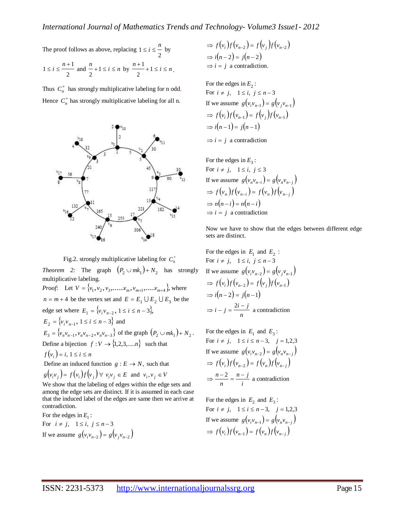The proof follows as above, replacing 2  $1 \leq i \leq \frac{n}{n}$  by

$$
1 \le i \le \frac{n+1}{2}
$$
 and  $\frac{n}{2} + 1 \le i \le n$  by  $\frac{n+1}{2} + 1 \le i \le n$ .

Thus  $C_n^+$  has strongly multiplicative labeling for n odd. Hence  $C_n^+$  has strongly multiplicative labeling for all n.



Fig.2. strongly multiplicative labeling for  $C_9^+$ 

*Theorem 2:* The graph  $\left(P_2 \cup mk_1\right) + N_2$  has strongly multiplicative labeling.

*Proof*: Let  $V = \{v_1, v_2, v_3, \dots, v_m, v_{m+1}, \dots, v_{m+4}\}\,$ , where  $n = m + 4$  be the vertex set and  $E = E_1 \cup E_2 \cup E_3$  be the edge set where  $E_1 = \{v_i v_{n-2}, 1 \le i \le n-3\},\$  $E_2 = \{v_i v_{n-1}, 1 \le i \le n-3\}$  and  $E_3 = \{v_n v_{n-1}, v_n v_{n-2}, v_n v_{n-3}\}\$  of the graph  $(P_2 \cup m k_1) + N_2$ . Define a bijection  $f: V \to \{1, 2, 3, \dots, n\}$  such that  $f(v_i) = i, 1 \le i \le n$ 

Define an induced function  $g: E \to N$ , such that  $g(v_i v_j) = f(v_i) f(v_j) \forall v_i v_j \in E$  and  $v_i, v_j \in V$ 

We show that the labeling of edges within the edge sets and among the edge sets are distinct. If it is assumed in each case that the induced label of the edges are same then we arrive at contradiction.

For the edges in  $E_1$ : For  $i \neq j$ ,  $1 \leq i$ ,  $j \leq n-3$ If we assume  $g(v_i v_{n-2}) = g(v_j v_{n-2})$ 

$$
\Rightarrow f(v_i)f(v_{n-2}) = f(v_j)f(v_{n-2})
$$
  
\n
$$
\Rightarrow i(n-2) = j(n-2)
$$
  
\n
$$
\Rightarrow i = j \text{ a contradiction.}
$$

For the edges in  $E_2$ : For  $i \neq j$ ,  $1 \leq i$ ,  $j \leq n-3$ If we assume  $g(v_i v_{n-1}) = g(v_j v_{n-1})$  $\Rightarrow$   $f(v_i) f(v_{n-1}) = f(v_j) f(v_{n-1})$  $\Rightarrow i(n-1) = j(n-1)$ 

 $\Rightarrow i = j$  a contradiction

For the edges in 
$$
E_3
$$
:  
\nFor  $i \neq j$ ,  $1 \leq i$ ,  $j \leq 3$   
\nIf we assume  $g(v_n v_{n-i}) = g(v_n v_{n-j})$   
\n $\Rightarrow f(v_n) f(v_{n-i}) = f(v_n) f(v_{n-j})$   
\n $\Rightarrow n(n-i) = n(n-i)$   
\n $\Rightarrow i = j \text{ a contradiction}$ 

Now we have to show that the edges between different edge sets are distinct.

For the edges in 
$$
E_1
$$
 and  $E_2$ :  
\nFor  $i \neq j$ ,  $1 \leq i$ ,  $j \leq n-3$   
\nIf we assume  $g(v_i v_{n-2}) = g(v_j v_{n-1})$   
\n $\Rightarrow f(v_i) f(v_{n-2}) = f(v_j) f(v_{n-1})$   
\n $\Rightarrow i(n-2) = j(n-1)$   
\n $\Rightarrow i - j = \frac{2i - j}{n}$  a contradiction

For the edges in  $E_1$  and  $E_3$ : For  $i \neq j$ ,  $1 \leq i \leq n-3$ ,  $j = 1,2,3$ If we assume  $g(v_i v_{n-2}) = g(v_n v_{n-j})$  $\Rightarrow$   $f(v_i)f(v_{n-2}) = f(v_n)f(v_{n-j})$ *i n j n*  $\Rightarrow$   $\frac{n-2}{i} = \frac{n-j}{i}$  a contradiction

For the edges in  $E_2$  and  $E_3$ : For  $i \neq j$ ,  $1 \leq i \leq n-3$ ,  $j = 1,2,3$ If we assume  $g(v_i v_{n-1}) = g(v_n v_{n-j})$  $\Rightarrow$   $f(v_i)f(v_{n-1}) = f(v_n)f(v_{n-j})$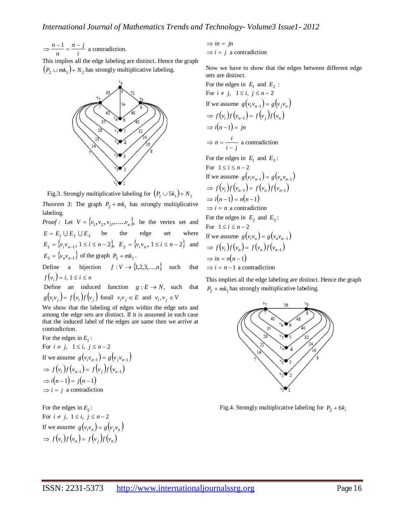*i n j n*  $\Rightarrow$   $\frac{n-1}{i} = \frac{n-j}{i}$  a contradiction.

This implies all the edge labeling are distinct. Hence the graph  $(p_2 \cup mk_1) + N_2$  has strongly multiplicative labeling.



Fig.3. Strongly multiplicative labeling for  $\left( P_2 \cup 5k_1 \right) + N_2$ 

*Theorem 3:* The graph  $P_2 + mk_1$  has strongly multiplicative labeling.

*Proof:* Let  $V = \{v_1, v_2, v_3, \dots, v_n\}$ , be the vertex set and  $E = E_1 \cup E_2 \cup E_3$  be the edge set where  $E_1 = \{v_i v_{n-1}, 1 \le i \le n-2\}, E_2 = \{v_i v_n, 1 \le i \le n-2\}$  and  $E_3 = \{v_n v_{n-1}\}\$  of the graph  $P_2 + mk_1$ .

Define a bijection  $f: V \to \{1, 2, 3, \dots, n\}$  such that  $f(v_i) = i, 1 \le i \le n$ 

Define an induced function  $g : E \to N$ , such that  $g(v_i v_j) = f(v_i) f(v_j)$  forall  $v_i v_j \in E$  and  $v_i, v_j \in V$ 

We show that the labeling of edges within the edge sets and among the edge sets are distinct. If it is assumed in each case that the induced label of the edges are same then we arrive at contradiction.

For the edges in  $E_1$ : For  $i \neq j$ ,  $1 \leq i$ ,  $j \leq n-2$ If we assume  $g(v_i v_{n-1}) = g(v_j v_{n-1})$  $\Rightarrow$   $f(v_i) f(v_{n-1}) = f(v_j) f(v_{n-1})$  $\Rightarrow i(n-1) = j(n-1)$  $\Rightarrow i = j$  a contradiction

For the edges in  $E_2$ : For  $i \neq j$ ,  $1 \leq i$ ,  $j \leq n-2$ If we assume  $g(v_i v_n) = g(v_j v_n)$  $\Rightarrow$   $f(v_i)f(v_n) = f(v_i)f(v_n)$ 

$$
\Rightarrow in = jn
$$
  

$$
\Rightarrow i = j \text{ a contradiction}
$$

Now we have to show that the edges between different edge sets are distinct.

For the edges in 
$$
E_1
$$
 and  $E_2$ :  
\nFor  $i \neq j$ ,  $1 \leq i$ ,  $j \leq n-2$   
\nIf we assume  $g(v_i v_{n-1}) = g(v_j v_n)$   
\n $\Rightarrow f(v_i) f(v_{n-1}) = f(v_j) f(v_n)$   
\n $\Rightarrow i(n-1) = jn$   
\n $\Rightarrow n = \frac{i}{i-j}$  a contradiction

For the edges in  $E_1$  and  $E_3$ :

For  $1 \le i \le n-2$ If we assume  $g(v_i v_{n-1}) = g(v_n v_{n-1})$  $\Rightarrow$   $f(v_i) f(v_{n-1}) = f(v_n) f(v_{n-1})$  $\Rightarrow i(n-1) = n(n-1)$  $\Rightarrow i = n$  a contradiction For the edges in  $E_2$  and  $E_3$ : For  $1 \le i \le n-2$ If we assume  $g(v_i v_n) = g(v_n v_{n-1})$  $\Rightarrow$   $f(v_i)f(v_n) = f(v_n)f(v_{n-1})$  $\Rightarrow$  *in* = *n*(*n* - 1)  $\Rightarrow i = n - 1$  a contradiction

This implies all the edge labeling are distinct. Hence the graph  $P_2 + mk_1$  has strongly multiplicative labeling.



Fig.4. Strongly multiplicative labeling for  $P_2 + 6k_1$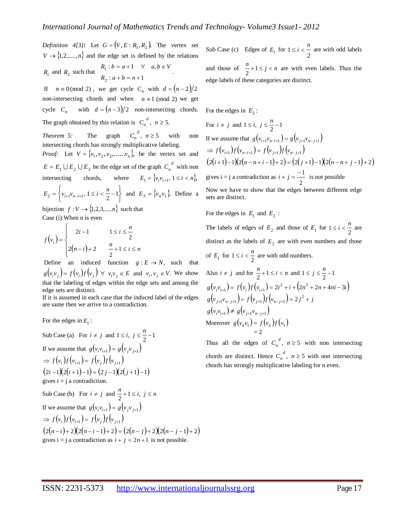*Definition* 4[3]: Let  $G = (V, E : R_1, R_2)$ . The vertex set  $V \rightarrow \{1,2,\ldots,n\}$  and the edge set is defined by the relations  $R_1$  and  $R_2$  such that  $R_1 : b = a + 1 \quad \forall \quad a, b \in V$ .

 $R_2$  :  $a + b = n + 1$ If  $n \equiv 0 \pmod{2}$ , we get cycle  $C_n$  with  $d = (n-2)/2$ non-intersecting chords and when  $n \equiv 1 \pmod{2}$  we get cycle  $C_n$  with  $d = (n-3)/2$  non-intersecting chords. The graph obtained by this relation is  $C_n^d$ ,  $n \ge 5$ . *n*

*Theorem 5:* The graph  $C_n^d$ ,  $n \ge 5$  with non intersecting chords has strongly multiplicative labeling.

*Proof:* Let  $V = \{v_1, v_2, v_3, \dots, v_n\}$ , be the vertex set and  $E = E_1 \cup E_2 \cup E_3$  be the edge set of the graph  $C_n^d$  with non intersecting chords, where  $E_1 = \{v_i v_{i+1}, 1 \le i \le n\},\$  $\left\{\begin{array}{c} \end{array}\right\}$  $E_2 = \left\{ v_{i+1}v_{n-i+1}, 1 \le i < \frac{n}{2} - 1 \right\}$  and  $E_3 = \left\{ v_n v_1 \right\}$ . Define a bijection  $f: V \rightarrow \{1, 2, 3, \dots, n\}$  such that

Case (i):When n is even

$$
f(v_i) = \begin{cases} 2i - 1 & 1 \le i \le \frac{n}{2} \\ 2(n - i) + 2 & \frac{n}{2} + 1 \le i \le n \end{cases}
$$

Define an induced function  $g: E \to N$ , such that  $g(v_i v_j) = f(v_i) f(v_j) \quad \forall \quad v_i v_j \in E \text{ and } v_i, v_j \in V.$  We show that the labeling of edges within the edge sets and among the edge sets are distinct.

If it is assumed in each case that the induced label of the edges are same then we arrive to a contradiction.

For the edges in  $E_1$ :

Sub Case (a) For 
$$
i \neq j
$$
 and  $1 \leq i$ ,  $j \leq \frac{n}{2} - 1$   
\nIf we assume that  $g(v_i v_{i+1}) = g(v_j v_{j+1})$   
\n $\Rightarrow f(v_i) f(v_{i+1}) = f(v_j) f(v_{j+1})$   
\n $(2i-1)(2(i+1)-1) = (2j-1)(2(j+1)-1)$   
\ngives  $i = j$  a contradiction.  
\nSub Case (b) For  $i \neq j$  and  $\frac{n}{2} + 1 \leq i$ ,  $j \leq n$   
\nIf we assume that  $g(v_i v_{i+1}) = g(v_j v_{j+1})$   
\n $\Rightarrow f(v_i) f(v_{i+1}) = f(v_j) f(v_{j+1})$   
\n $(2(n-i)+2)(2(n-i-1)+2) = (2(n-i)+2)(2(n-i-1)+2)$   
\ngives  $i = j$  a contradiction as  $i + j = 2n + 1$  is not possible.

Sub Case (c) Edges of  $E_1$  for 2  $1 \le i < \frac{n}{n}$  are with odd labels

and those of  $\frac{n}{2} + 1 \le j < n$  are with even labels. Thus the edge labels of these categories are distinct.

For the edges in  $E_2$ :

For  $i \neq j$  and  $1 \leq i, j \leq \frac{n}{2} - 1$ If we assume that  $g(v_{i+1}v_{n-i+1}) = g(v_{j+1}v_{n-j+1})$  $\Rightarrow$   $f(v_{i+1}) f(v_{n-i+1}) = f(v_{i+1}) f(v_{n-i+1})$  $(2(i+1)-1)(2(n-n+i-1)+2) = (2(j+1)-1)(2(n-n+j-1)+2)$ gives  $i = j$  a contradiction as 2  $i + j = \frac{-1}{-}$  is not possible Now we have to show that the edges between different edge sets are distinct.

For the edges in  $E_1$  and  $E_2$ :

The labels of edges of  $E_2$  and those of  $E_1$  for  $1 \le i < \frac{n}{2}$  are distinct as the labels of  $E_2$  are with even numbers and those of  $E_1$  for  $1 \le i < \frac{n}{2}$  are with odd numbers.

Also  $i \neq j$  and for  $\frac{n}{2} + 1 \leq i < n$  and  $1 \leq j \leq \frac{n}{2} - 1$  $g(v_i v_{i+1}) = f(v_i) f(v_{i+1}) = 2i^2 + i + (2n^2 + 2n + 4ni - 3i)$  $g(v_{j+1}v_{n-j+1}) = f(v_{j+1})f(v_{n-j+1}) = 2j^2 + j$  $g(v_i v_{i+1}) \neq g(v_{j+1} v_{n-j+1})$ Moreover  $g(v_n v_1) = f(v_n) f(v_1)$  $= 2$ 

Thus all the edges of  $C_n^d$ ,  $n \ge 5$  with non intersecting chords are distinct. Hence  $C_n^d$ ,  $n \ge 5$  with non intersecting chords has strongly multiplicative labeling for n even.